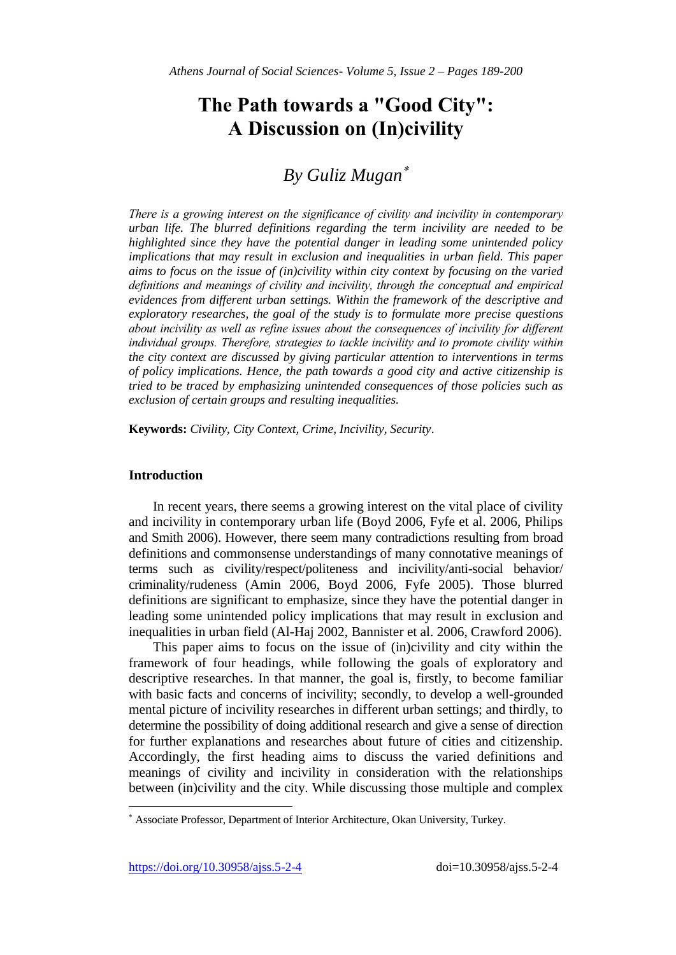# **The Path towards a "Good City": A Discussion on (In)civility**

# *By Guliz Mugan*

*There is a growing interest on the significance of civility and incivility in contemporary urban life. The blurred definitions regarding the term incivility are needed to be highlighted since they have the potential danger in leading some unintended policy implications that may result in exclusion and inequalities in urban field. This paper aims to focus on the issue of (in)civility within city context by focusing on the varied definitions and meanings of civility and incivility, through the conceptual and empirical evidences from different urban settings. Within the framework of the descriptive and exploratory researches, the goal of the study is to formulate more precise questions about incivility as well as refine issues about the consequences of incivility for different individual groups. Therefore, strategies to tackle incivility and to promote civility within the city context are discussed by giving particular attention to interventions in terms of policy implications. Hence, the path towards a good city and active citizenship is tried to be traced by emphasizing unintended consequences of those policies such as exclusion of certain groups and resulting inequalities.*

**Keywords:** *Civility, City Context, Crime, Incivility, Security*.

#### **Introduction**

In recent years, there seems a growing interest on the vital place of civility and incivility in contemporary urban life (Boyd 2006, Fyfe et al. 2006, Philips and Smith 2006). However, there seem many contradictions resulting from broad definitions and commonsense understandings of many connotative meanings of terms such as civility/respect/politeness and incivility/anti-social behavior/ criminality/rudeness (Amin 2006, Boyd 2006, Fyfe 2005). Those blurred definitions are significant to emphasize, since they have the potential danger in leading some unintended policy implications that may result in exclusion and inequalities in urban field (Al-Haj 2002, Bannister et al. 2006, Crawford 2006).

This paper aims to focus on the issue of (in)civility and city within the framework of four headings, while following the goals of exploratory and descriptive researches. In that manner, the goal is, firstly, to become familiar with basic facts and concerns of incivility; secondly, to develop a well-grounded mental picture of incivility researches in different urban settings; and thirdly, to determine the possibility of doing additional research and give a sense of direction for further explanations and researches about future of cities and citizenship. Accordingly, the first heading aims to discuss the varied definitions and meanings of civility and incivility in consideration with the relationships between (in)civility and the city. While discussing those multiple and complex

<https://doi.org/10.30958/ajss.5-2-4>doi=10.30958/ajss.5-2-4

l

Associate Professor, Department of Interior Architecture, Okan University, Turkey.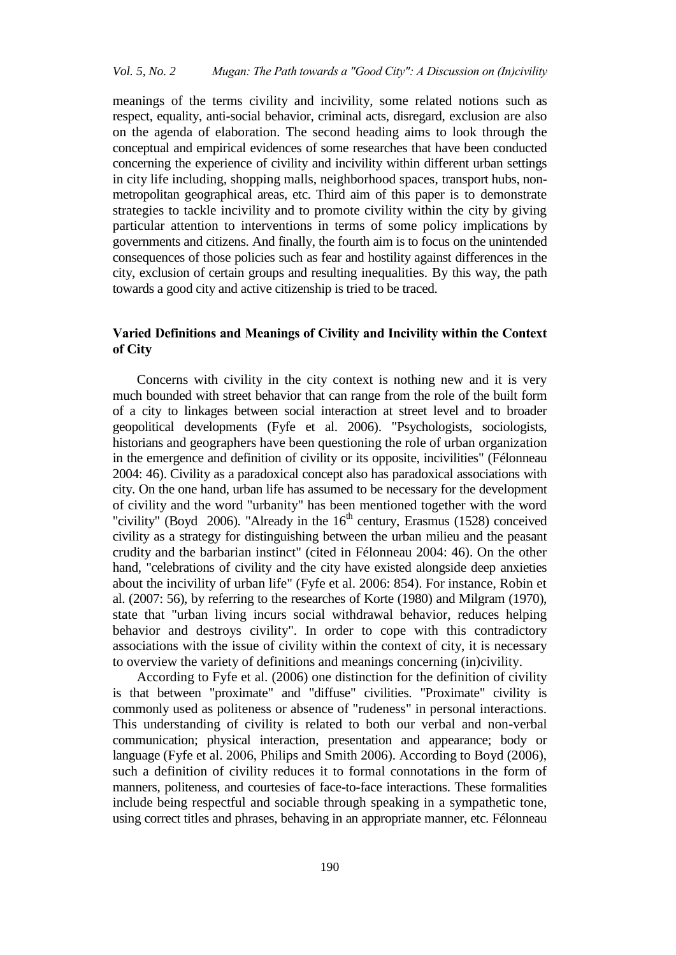meanings of the terms civility and incivility, some related notions such as respect, equality, anti-social behavior, criminal acts, disregard, exclusion are also on the agenda of elaboration. The second heading aims to look through the conceptual and empirical evidences of some researches that have been conducted concerning the experience of civility and incivility within different urban settings in city life including, shopping malls, neighborhood spaces, transport hubs, nonmetropolitan geographical areas, etc. Third aim of this paper is to demonstrate strategies to tackle incivility and to promote civility within the city by giving particular attention to interventions in terms of some policy implications by governments and citizens. And finally, the fourth aim is to focus on the unintended consequences of those policies such as fear and hostility against differences in the city, exclusion of certain groups and resulting inequalities. By this way, the path towards a good city and active citizenship is tried to be traced.

## **Varied Definitions and Meanings of Civility and Incivility within the Context of City**

Concerns with civility in the city context is nothing new and it is very much bounded with street behavior that can range from the role of the built form of a city to linkages between social interaction at street level and to broader geopolitical developments (Fyfe et al. 2006). "Psychologists, sociologists, historians and geographers have been questioning the role of urban organization in the emergence and definition of civility or its opposite, incivilities" (Félonneau 2004: 46). Civility as a paradoxical concept also has paradoxical associations with city. On the one hand, urban life has assumed to be necessary for the development of civility and the word "urbanity" has been mentioned together with the word "civility" (Boyd 2006). "Already in the  $16<sup>th</sup>$  century, Erasmus (1528) conceived civility as a strategy for distinguishing between the urban milieu and the peasant crudity and the barbarian instinct" (cited in Félonneau 2004: 46). On the other hand, "celebrations of civility and the city have existed alongside deep anxieties about the incivility of urban life" (Fyfe et al. 2006: 854). For instance, Robin et al. (2007: 56), by referring to the researches of Korte (1980) and Milgram (1970), state that "urban living incurs social withdrawal behavior, reduces helping behavior and destroys civility". In order to cope with this contradictory associations with the issue of civility within the context of city, it is necessary to overview the variety of definitions and meanings concerning (in)civility.

According to Fyfe et al. (2006) one distinction for the definition of civility is that between "proximate" and "diffuse" civilities. "Proximate" civility is commonly used as politeness or absence of "rudeness" in personal interactions. This understanding of civility is related to both our verbal and non-verbal communication; physical interaction, presentation and appearance; body or language (Fyfe et al. 2006, Philips and Smith 2006). According to Boyd (2006), such a definition of civility reduces it to formal connotations in the form of manners, politeness, and courtesies of face-to-face interactions. These formalities include being respectful and sociable through speaking in a sympathetic tone, using correct titles and phrases, behaving in an appropriate manner, etc. Félonneau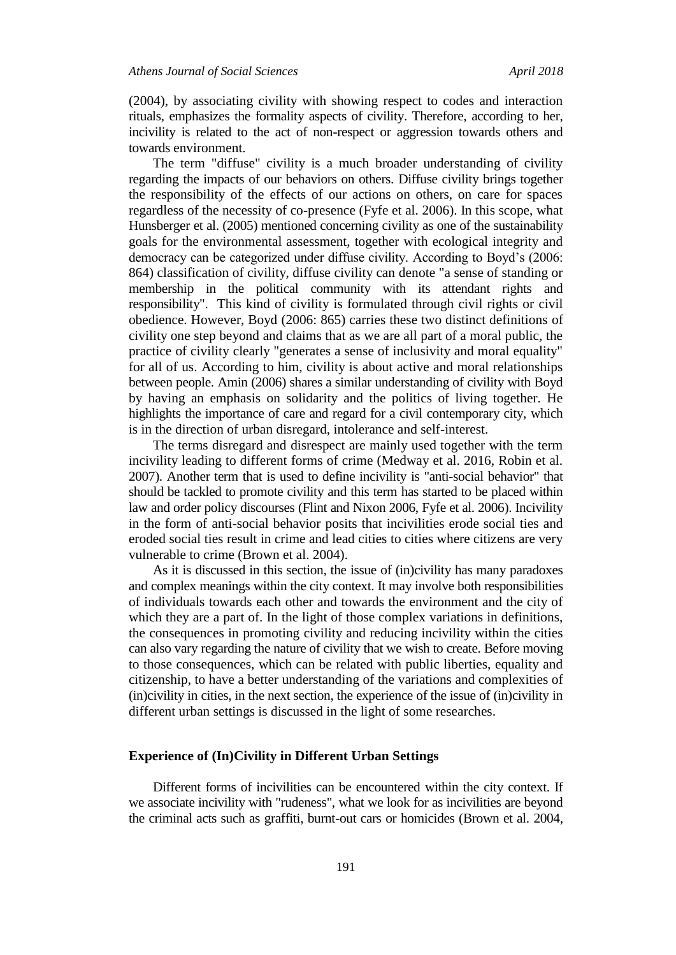(2004), by associating civility with showing respect to codes and interaction rituals, emphasizes the formality aspects of civility. Therefore, according to her, incivility is related to the act of non-respect or aggression towards others and towards environment.

The term "diffuse" civility is a much broader understanding of civility regarding the impacts of our behaviors on others. Diffuse civility brings together the responsibility of the effects of our actions on others, on care for spaces regardless of the necessity of co-presence (Fyfe et al. 2006). In this scope, what Hunsberger et al. (2005) mentioned concerning civility as one of the sustainability goals for the environmental assessment, together with ecological integrity and democracy can be categorized under diffuse civility. According to Boyd's (2006: 864) classification of civility, diffuse civility can denote "a sense of standing or membership in the political community with its attendant rights and responsibility". This kind of civility is formulated through civil rights or civil obedience. However, Boyd (2006: 865) carries these two distinct definitions of civility one step beyond and claims that as we are all part of a moral public, the practice of civility clearly "generates a sense of inclusivity and moral equality" for all of us. According to him, civility is about active and moral relationships between people. Amin (2006) shares a similar understanding of civility with Boyd by having an emphasis on solidarity and the politics of living together. He highlights the importance of care and regard for a civil contemporary city, which is in the direction of urban disregard, intolerance and self-interest.

The terms disregard and disrespect are mainly used together with the term incivility leading to different forms of crime (Medway et al. 2016, Robin et al. 2007). Another term that is used to define incivility is "anti-social behavior" that should be tackled to promote civility and this term has started to be placed within law and order policy discourses (Flint and Nixon 2006, Fyfe et al. 2006). Incivility in the form of anti-social behavior posits that incivilities erode social ties and eroded social ties result in crime and lead cities to cities where citizens are very vulnerable to crime (Brown et al. 2004).

As it is discussed in this section, the issue of (in)civility has many paradoxes and complex meanings within the city context. It may involve both responsibilities of individuals towards each other and towards the environment and the city of which they are a part of. In the light of those complex variations in definitions, the consequences in promoting civility and reducing incivility within the cities can also vary regarding the nature of civility that we wish to create. Before moving to those consequences, which can be related with public liberties, equality and citizenship, to have a better understanding of the variations and complexities of (in)civility in cities, in the next section, the experience of the issue of (in)civility in different urban settings is discussed in the light of some researches.

#### **Experience of (In)Civility in Different Urban Settings**

Different forms of incivilities can be encountered within the city context. If we associate incivility with "rudeness", what we look for as incivilities are beyond the criminal acts such as graffiti, burnt-out cars or homicides (Brown et al. 2004,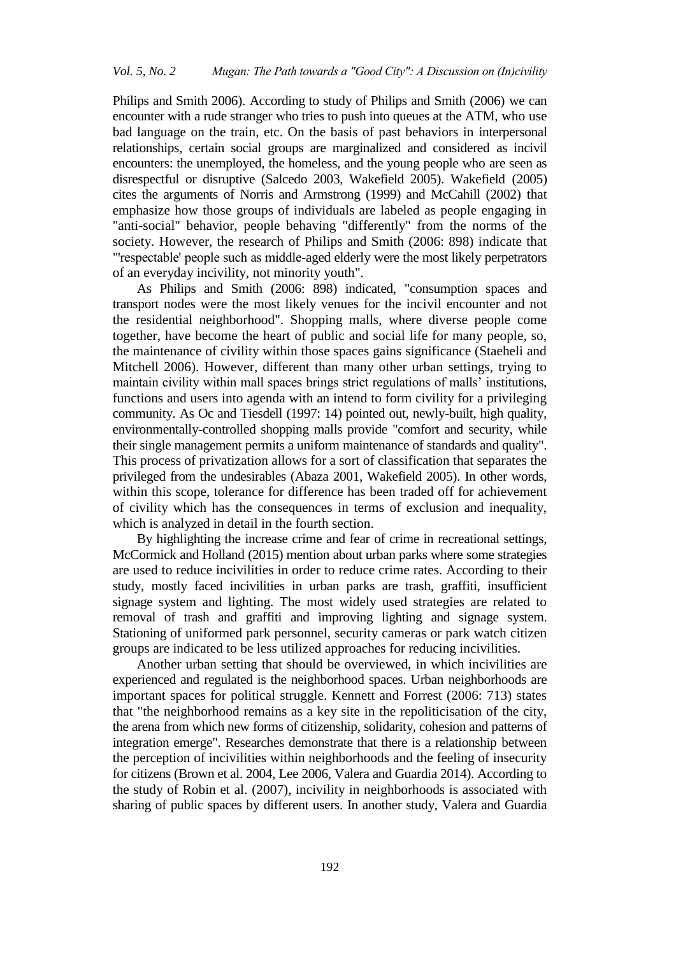Philips and Smith 2006). According to study of Philips and Smith (2006) we can encounter with a rude stranger who tries to push into queues at the ATM, who use bad language on the train, etc. On the basis of past behaviors in interpersonal relationships, certain social groups are marginalized and considered as incivil encounters: the unemployed, the homeless, and the young people who are seen as disrespectful or disruptive (Salcedo 2003, Wakefield 2005). Wakefield (2005) cites the arguments of Norris and Armstrong (1999) and McCahill (2002) that emphasize how those groups of individuals are labeled as people engaging in "anti-social" behavior, people behaving "differently" from the norms of the society. However, the research of Philips and Smith (2006: 898) indicate that "respectable' people such as middle-aged elderly were the most likely perpetrators of an everyday incivility, not minority youth".

As Philips and Smith (2006: 898) indicated, "consumption spaces and transport nodes were the most likely venues for the incivil encounter and not the residential neighborhood". Shopping malls, where diverse people come together, have become the heart of public and social life for many people, so, the maintenance of civility within those spaces gains significance (Staeheli and Mitchell 2006). However, different than many other urban settings, trying to maintain civility within mall spaces brings strict regulations of malls' institutions, functions and users into agenda with an intend to form civility for a privileging community. As Oc and Tiesdell (1997: 14) pointed out, newly-built, high quality, environmentally-controlled shopping malls provide "comfort and security, while their single management permits a uniform maintenance of standards and quality". This process of privatization allows for a sort of classification that separates the privileged from the undesirables (Abaza 2001, Wakefield 2005). In other words, within this scope, tolerance for difference has been traded off for achievement of civility which has the consequences in terms of exclusion and inequality, which is analyzed in detail in the fourth section.

By highlighting the increase crime and fear of crime in recreational settings, McCormick and Holland (2015) mention about urban parks where some strategies are used to reduce incivilities in order to reduce crime rates. According to their study, mostly faced incivilities in urban parks are trash, graffiti, insufficient signage system and lighting. The most widely used strategies are related to removal of trash and graffiti and improving lighting and signage system. Stationing of uniformed park personnel, security cameras or park watch citizen groups are indicated to be less utilized approaches for reducing incivilities.

Another urban setting that should be overviewed, in which incivilities are experienced and regulated is the neighborhood spaces. Urban neighborhoods are important spaces for political struggle. Kennett and Forrest (2006: 713) states that "the neighborhood remains as a key site in the repoliticisation of the city, the arena from which new forms of citizenship, solidarity, cohesion and patterns of integration emerge". Researches demonstrate that there is a relationship between the perception of incivilities within neighborhoods and the feeling of insecurity for citizens (Brown et al. 2004, Lee 2006, Valera and Guardia 2014). According to the study of Robin et al. (2007), incivility in neighborhoods is associated with sharing of public spaces by different users. In another study, Valera and Guardia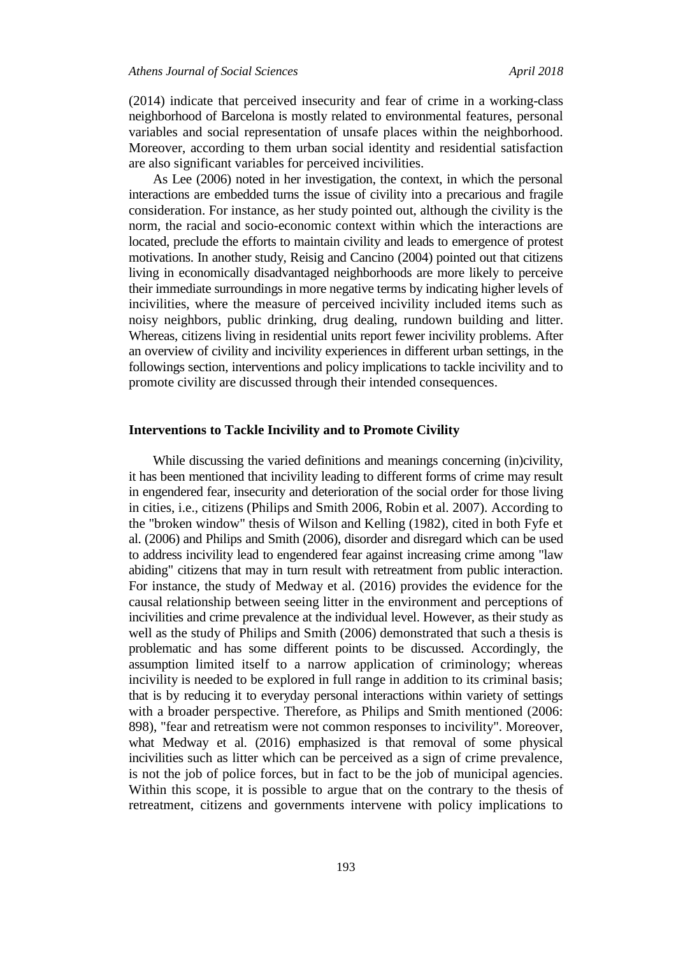(2014) indicate that perceived insecurity and fear of crime in a working-class neighborhood of Barcelona is mostly related to environmental features, personal variables and social representation of unsafe places within the neighborhood. Moreover, according to them urban social identity and residential satisfaction are also significant variables for perceived incivilities.

As Lee (2006) noted in her investigation, the context, in which the personal interactions are embedded turns the issue of civility into a precarious and fragile consideration. For instance, as her study pointed out, although the civility is the norm, the racial and socio-economic context within which the interactions are located, preclude the efforts to maintain civility and leads to emergence of protest motivations. In another study, Reisig and Cancino (2004) pointed out that citizens living in economically disadvantaged neighborhoods are more likely to perceive their immediate surroundings in more negative terms by indicating higher levels of incivilities, where the measure of perceived incivility included items such as noisy neighbors, public drinking, drug dealing, rundown building and litter. Whereas, citizens living in residential units report fewer incivility problems. After an overview of civility and incivility experiences in different urban settings, in the followings section, interventions and policy implications to tackle incivility and to promote civility are discussed through their intended consequences.

#### **Interventions to Tackle Incivility and to Promote Civility**

While discussing the varied definitions and meanings concerning (in)civility, it has been mentioned that incivility leading to different forms of crime may result in engendered fear, insecurity and deterioration of the social order for those living in cities, i.e., citizens (Philips and Smith 2006, Robin et al. 2007). According to the "broken window" thesis of Wilson and Kelling (1982), cited in both Fyfe et al. (2006) and Philips and Smith (2006), disorder and disregard which can be used to address incivility lead to engendered fear against increasing crime among "law abiding" citizens that may in turn result with retreatment from public interaction. For instance, the study of Medway et al. (2016) provides the evidence for the causal relationship between seeing litter in the environment and perceptions of incivilities and crime prevalence at the individual level. However, as their study as well as the study of Philips and Smith (2006) demonstrated that such a thesis is problematic and has some different points to be discussed. Accordingly, the assumption limited itself to a narrow application of criminology; whereas incivility is needed to be explored in full range in addition to its criminal basis; that is by reducing it to everyday personal interactions within variety of settings with a broader perspective. Therefore, as Philips and Smith mentioned (2006: 898), "fear and retreatism were not common responses to incivility". Moreover, what Medway et al. (2016) emphasized is that removal of some physical incivilities such as litter which can be perceived as a sign of crime prevalence, is not the job of police forces, but in fact to be the job of municipal agencies. Within this scope, it is possible to argue that on the contrary to the thesis of retreatment, citizens and governments intervene with policy implications to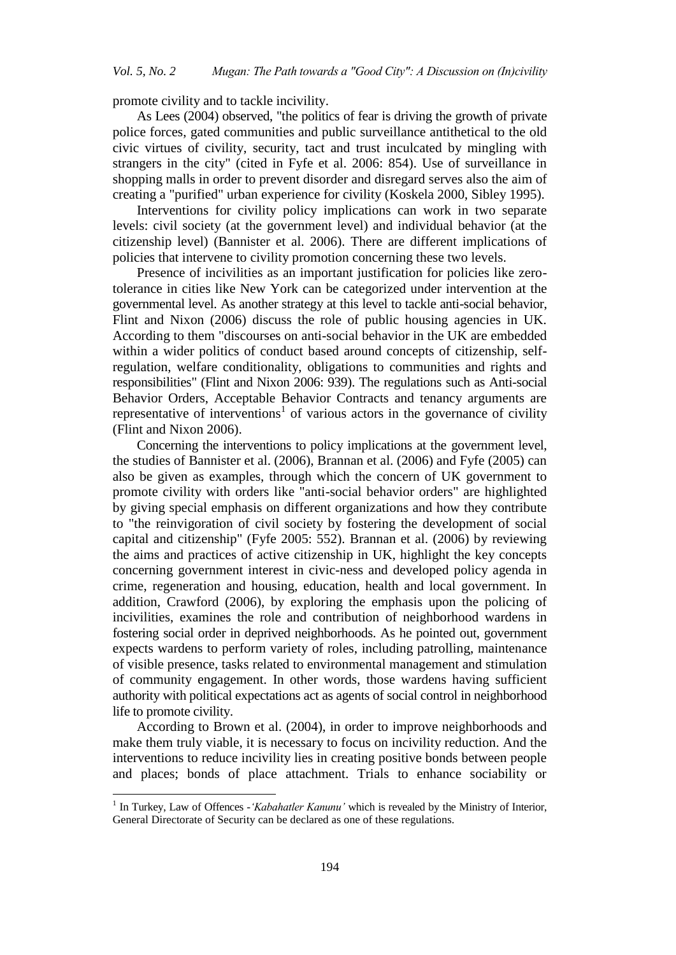promote civility and to tackle incivility.

As Lees (2004) observed, "the politics of fear is driving the growth of private police forces, gated communities and public surveillance antithetical to the old civic virtues of civility, security, tact and trust inculcated by mingling with strangers in the city" (cited in Fyfe et al. 2006: 854). Use of surveillance in shopping malls in order to prevent disorder and disregard serves also the aim of creating a "purified" urban experience for civility (Koskela 2000, Sibley 1995).

Interventions for civility policy implications can work in two separate levels: civil society (at the government level) and individual behavior (at the citizenship level) (Bannister et al. 2006). There are different implications of policies that intervene to civility promotion concerning these two levels.

Presence of incivilities as an important justification for policies like zerotolerance in cities like New York can be categorized under intervention at the governmental level. As another strategy at this level to tackle anti-social behavior, Flint and Nixon (2006) discuss the role of public housing agencies in UK. According to them "discourses on anti-social behavior in the UK are embedded within a wider politics of conduct based around concepts of citizenship, selfregulation, welfare conditionality, obligations to communities and rights and responsibilities" (Flint and Nixon 2006: 939). The regulations such as Anti-social Behavior Orders, Acceptable Behavior Contracts and tenancy arguments are representative of interventions<sup>1</sup> of various actors in the governance of civility (Flint and Nixon 2006).

Concerning the interventions to policy implications at the government level, the studies of Bannister et al. (2006), Brannan et al. (2006) and Fyfe (2005) can also be given as examples, through which the concern of UK government to promote civility with orders like "anti-social behavior orders" are highlighted by giving special emphasis on different organizations and how they contribute to "the reinvigoration of civil society by fostering the development of social capital and citizenship" (Fyfe 2005: 552). Brannan et al. (2006) by reviewing the aims and practices of active citizenship in UK, highlight the key concepts concerning government interest in civic-ness and developed policy agenda in crime, regeneration and housing, education, health and local government. In addition, Crawford (2006), by exploring the emphasis upon the policing of incivilities, examines the role and contribution of neighborhood wardens in fostering social order in deprived neighborhoods. As he pointed out, government expects wardens to perform variety of roles, including patrolling, maintenance of visible presence, tasks related to environmental management and stimulation of community engagement. In other words, those wardens having sufficient authority with political expectations act as agents of social control in neighborhood life to promote civility.

According to Brown et al. (2004), in order to improve neighborhoods and make them truly viable, it is necessary to focus on incivility reduction. And the interventions to reduce incivility lies in creating positive bonds between people and places; bonds of place attachment. Trials to enhance sociability or

 $\overline{a}$ 

<sup>&</sup>lt;sup>1</sup> In Turkey, Law of Offences - 'Kabahatler Kanunu' which is revealed by the Ministry of Interior, General Directorate of Security can be declared as one of these regulations.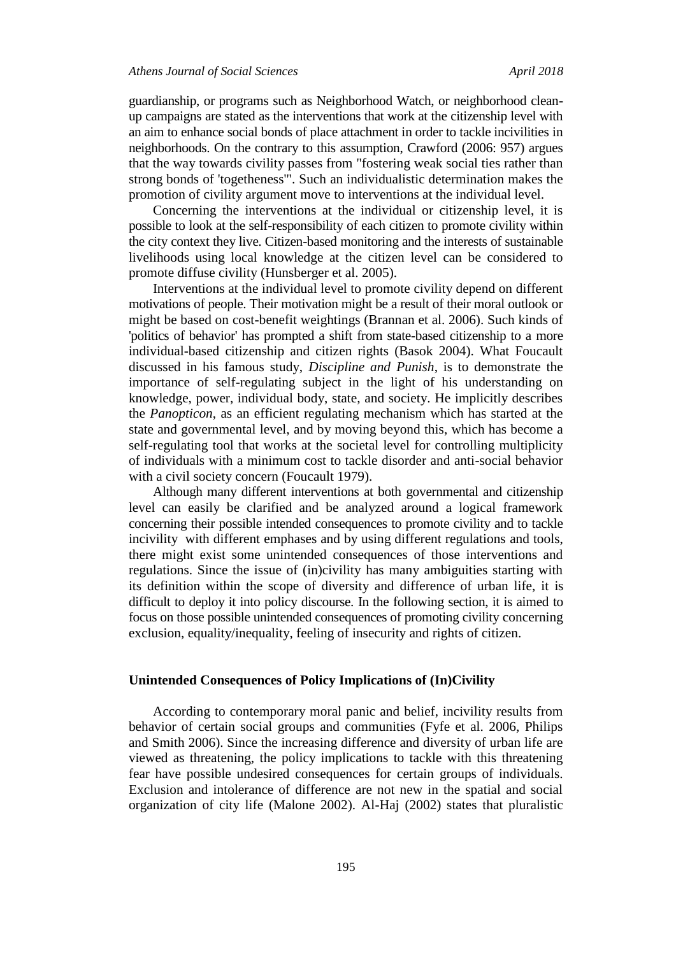guardianship, or programs such as Neighborhood Watch, or neighborhood cleanup campaigns are stated as the interventions that work at the citizenship level with an aim to enhance social bonds of place attachment in order to tackle incivilities in neighborhoods. On the contrary to this assumption, Crawford (2006: 957) argues that the way towards civility passes from "fostering weak social ties rather than strong bonds of 'togetheness'". Such an individualistic determination makes the promotion of civility argument move to interventions at the individual level.

Concerning the interventions at the individual or citizenship level, it is possible to look at the self-responsibility of each citizen to promote civility within the city context they live. Citizen-based monitoring and the interests of sustainable livelihoods using local knowledge at the citizen level can be considered to promote diffuse civility (Hunsberger et al. 2005).

Interventions at the individual level to promote civility depend on different motivations of people. Their motivation might be a result of their moral outlook or might be based on cost-benefit weightings (Brannan et al. 2006). Such kinds of 'politics of behavior' has prompted a shift from state-based citizenship to a more individual-based citizenship and citizen rights (Basok 2004). What Foucault discussed in his famous study, *Discipline and Punish*, is to demonstrate the importance of self-regulating subject in the light of his understanding on knowledge, power, individual body, state, and society. He implicitly describes the *Panopticon*, as an efficient regulating mechanism which has started at the state and governmental level, and by moving beyond this, which has become a self-regulating tool that works at the societal level for controlling multiplicity of individuals with a minimum cost to tackle disorder and anti-social behavior with a civil society concern (Foucault 1979).

Although many different interventions at both governmental and citizenship level can easily be clarified and be analyzed around a logical framework concerning their possible intended consequences to promote civility and to tackle incivility with different emphases and by using different regulations and tools, there might exist some unintended consequences of those interventions and regulations. Since the issue of (in)civility has many ambiguities starting with its definition within the scope of diversity and difference of urban life, it is difficult to deploy it into policy discourse. In the following section, it is aimed to focus on those possible unintended consequences of promoting civility concerning exclusion, equality/inequality, feeling of insecurity and rights of citizen.

### **Unintended Consequences of Policy Implications of (In)Civility**

According to contemporary moral panic and belief, incivility results from behavior of certain social groups and communities (Fyfe et al. 2006, Philips and Smith 2006). Since the increasing difference and diversity of urban life are viewed as threatening, the policy implications to tackle with this threatening fear have possible undesired consequences for certain groups of individuals. Exclusion and intolerance of difference are not new in the spatial and social organization of city life (Malone 2002). Al-Haj (2002) states that pluralistic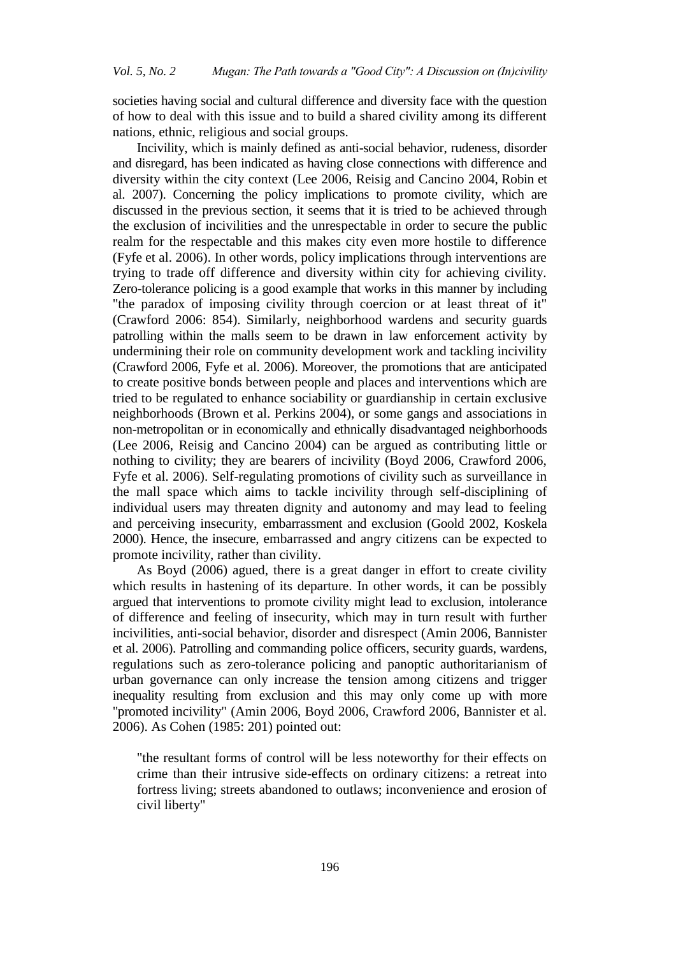societies having social and cultural difference and diversity face with the question of how to deal with this issue and to build a shared civility among its different nations, ethnic, religious and social groups.

Incivility, which is mainly defined as anti-social behavior, rudeness, disorder and disregard, has been indicated as having close connections with difference and diversity within the city context (Lee 2006, Reisig and Cancino 2004, Robin et al. 2007). Concerning the policy implications to promote civility, which are discussed in the previous section, it seems that it is tried to be achieved through the exclusion of incivilities and the unrespectable in order to secure the public realm for the respectable and this makes city even more hostile to difference (Fyfe et al. 2006). In other words, policy implications through interventions are trying to trade off difference and diversity within city for achieving civility. Zero-tolerance policing is a good example that works in this manner by including "the paradox of imposing civility through coercion or at least threat of it" (Crawford 2006: 854). Similarly, neighborhood wardens and security guards patrolling within the malls seem to be drawn in law enforcement activity by undermining their role on community development work and tackling incivility (Crawford 2006, Fyfe et al. 2006). Moreover, the promotions that are anticipated to create positive bonds between people and places and interventions which are tried to be regulated to enhance sociability or guardianship in certain exclusive neighborhoods (Brown et al. Perkins 2004), or some gangs and associations in non-metropolitan or in economically and ethnically disadvantaged neighborhoods (Lee 2006, Reisig and Cancino 2004) can be argued as contributing little or nothing to civility; they are bearers of incivility (Boyd 2006, Crawford 2006, Fyfe et al. 2006). Self-regulating promotions of civility such as surveillance in the mall space which aims to tackle incivility through self-disciplining of individual users may threaten dignity and autonomy and may lead to feeling and perceiving insecurity, embarrassment and exclusion (Goold 2002, Koskela 2000). Hence, the insecure, embarrassed and angry citizens can be expected to promote incivility, rather than civility.

As Boyd (2006) agued, there is a great danger in effort to create civility which results in hastening of its departure. In other words, it can be possibly argued that interventions to promote civility might lead to exclusion, intolerance of difference and feeling of insecurity, which may in turn result with further incivilities, anti-social behavior, disorder and disrespect (Amin 2006, Bannister et al. 2006). Patrolling and commanding police officers, security guards, wardens, regulations such as zero-tolerance policing and panoptic authoritarianism of urban governance can only increase the tension among citizens and trigger inequality resulting from exclusion and this may only come up with more "promoted incivility" (Amin 2006, Boyd 2006, Crawford 2006, Bannister et al. 2006). As Cohen (1985: 201) pointed out:

"the resultant forms of control will be less noteworthy for their effects on crime than their intrusive side-effects on ordinary citizens: a retreat into fortress living; streets abandoned to outlaws; inconvenience and erosion of civil liberty"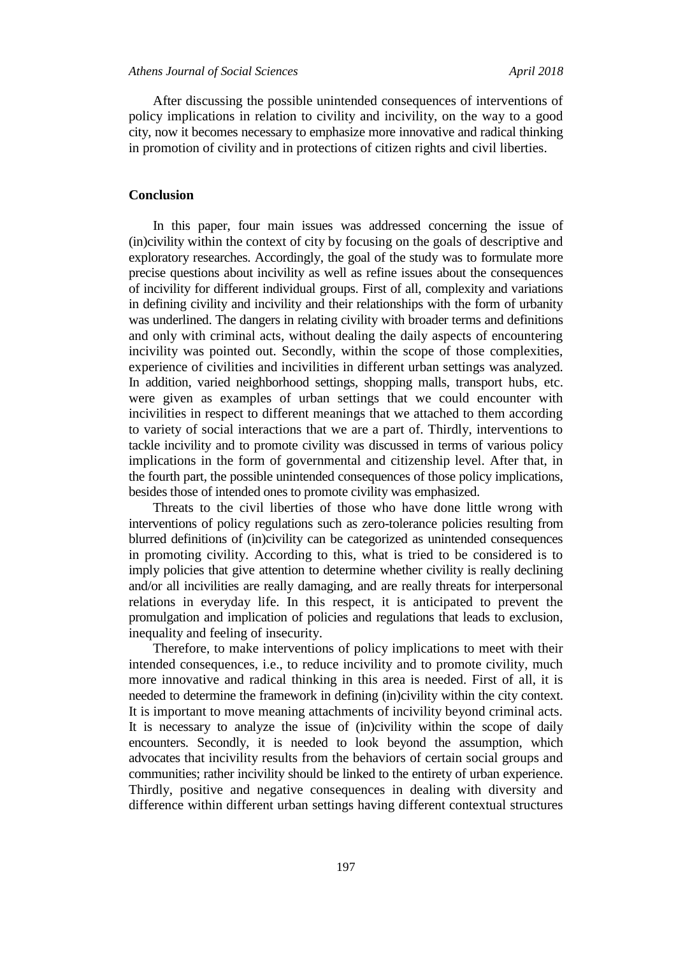After discussing the possible unintended consequences of interventions of policy implications in relation to civility and incivility, on the way to a good city, now it becomes necessary to emphasize more innovative and radical thinking in promotion of civility and in protections of citizen rights and civil liberties.

#### **Conclusion**

In this paper, four main issues was addressed concerning the issue of (in)civility within the context of city by focusing on the goals of descriptive and exploratory researches. Accordingly, the goal of the study was to formulate more precise questions about incivility as well as refine issues about the consequences of incivility for different individual groups. First of all, complexity and variations in defining civility and incivility and their relationships with the form of urbanity was underlined. The dangers in relating civility with broader terms and definitions and only with criminal acts, without dealing the daily aspects of encountering incivility was pointed out. Secondly, within the scope of those complexities, experience of civilities and incivilities in different urban settings was analyzed. In addition, varied neighborhood settings, shopping malls, transport hubs, etc. were given as examples of urban settings that we could encounter with incivilities in respect to different meanings that we attached to them according to variety of social interactions that we are a part of. Thirdly, interventions to tackle incivility and to promote civility was discussed in terms of various policy implications in the form of governmental and citizenship level. After that, in the fourth part, the possible unintended consequences of those policy implications, besides those of intended ones to promote civility was emphasized.

Threats to the civil liberties of those who have done little wrong with interventions of policy regulations such as zero-tolerance policies resulting from blurred definitions of (in)civility can be categorized as unintended consequences in promoting civility. According to this, what is tried to be considered is to imply policies that give attention to determine whether civility is really declining and/or all incivilities are really damaging, and are really threats for interpersonal relations in everyday life. In this respect, it is anticipated to prevent the promulgation and implication of policies and regulations that leads to exclusion, inequality and feeling of insecurity.

Therefore, to make interventions of policy implications to meet with their intended consequences, i.e., to reduce incivility and to promote civility, much more innovative and radical thinking in this area is needed. First of all, it is needed to determine the framework in defining (in)civility within the city context. It is important to move meaning attachments of incivility beyond criminal acts. It is necessary to analyze the issue of (in)civility within the scope of daily encounters. Secondly, it is needed to look beyond the assumption, which advocates that incivility results from the behaviors of certain social groups and communities; rather incivility should be linked to the entirety of urban experience. Thirdly, positive and negative consequences in dealing with diversity and difference within different urban settings having different contextual structures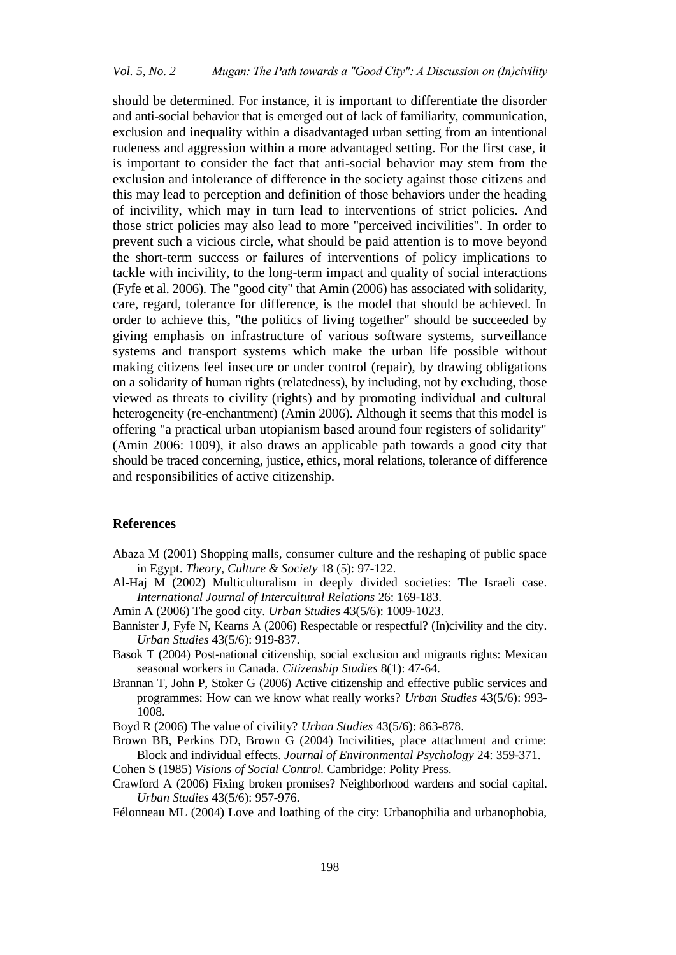should be determined. For instance, it is important to differentiate the disorder and anti-social behavior that is emerged out of lack of familiarity, communication, exclusion and inequality within a disadvantaged urban setting from an intentional rudeness and aggression within a more advantaged setting. For the first case, it is important to consider the fact that anti-social behavior may stem from the exclusion and intolerance of difference in the society against those citizens and this may lead to perception and definition of those behaviors under the heading of incivility, which may in turn lead to interventions of strict policies. And those strict policies may also lead to more "perceived incivilities". In order to prevent such a vicious circle, what should be paid attention is to move beyond the short-term success or failures of interventions of policy implications to tackle with incivility, to the long-term impact and quality of social interactions (Fyfe et al. 2006). The "good city" that Amin (2006) has associated with solidarity, care, regard, tolerance for difference, is the model that should be achieved. In order to achieve this, "the politics of living together" should be succeeded by giving emphasis on infrastructure of various software systems, surveillance systems and transport systems which make the urban life possible without making citizens feel insecure or under control (repair), by drawing obligations on a solidarity of human rights (relatedness), by including, not by excluding, those viewed as threats to civility (rights) and by promoting individual and cultural heterogeneity (re-enchantment) (Amin 2006). Although it seems that this model is offering "a practical urban utopianism based around four registers of solidarity" (Amin 2006: 1009), it also draws an applicable path towards a good city that should be traced concerning, justice, ethics, moral relations, tolerance of difference and responsibilities of active citizenship.

#### **References**

- Abaza M (2001) Shopping malls, consumer culture and the reshaping of public space in Egypt. *Theory, Culture & Society* 18 (5): 97-122.
- Al-Haj M (2002) Multiculturalism in deeply divided societies: The Israeli case. *International Journal of Intercultural Relations* 26: 169-183.
- Amin A (2006) The good city. *Urban Studies* 43(5/6): 1009-1023.
- Bannister J, Fyfe N, Kearns A (2006) Respectable or respectful? (In)civility and the city. *Urban Studies* 43(5/6): 919-837.
- Basok T (2004) Post-national citizenship, social exclusion and migrants rights: Mexican seasonal workers in Canada. *Citizenship Studies* 8(1): 47-64.
- Brannan T, John P, Stoker G (2006) Active citizenship and effective public services and programmes: How can we know what really works? *Urban Studies* 43(5/6): 993- 1008.

Boyd R (2006) The value of civility? *Urban Studies* 43(5/6): 863-878.

- Brown BB, Perkins DD, Brown G (2004) Incivilities, place attachment and crime: Block and individual effects. *Journal of Environmental Psychology* 24: 359-371. Cohen S (1985) *Visions of Social Control.* Cambridge: Polity Press.
- Crawford A (2006) Fixing broken promises? Neighborhood wardens and social capital. *Urban Studies* 43(5/6): 957-976.
- Félonneau ML (2004) Love and loathing of the city: Urbanophilia and urbanophobia,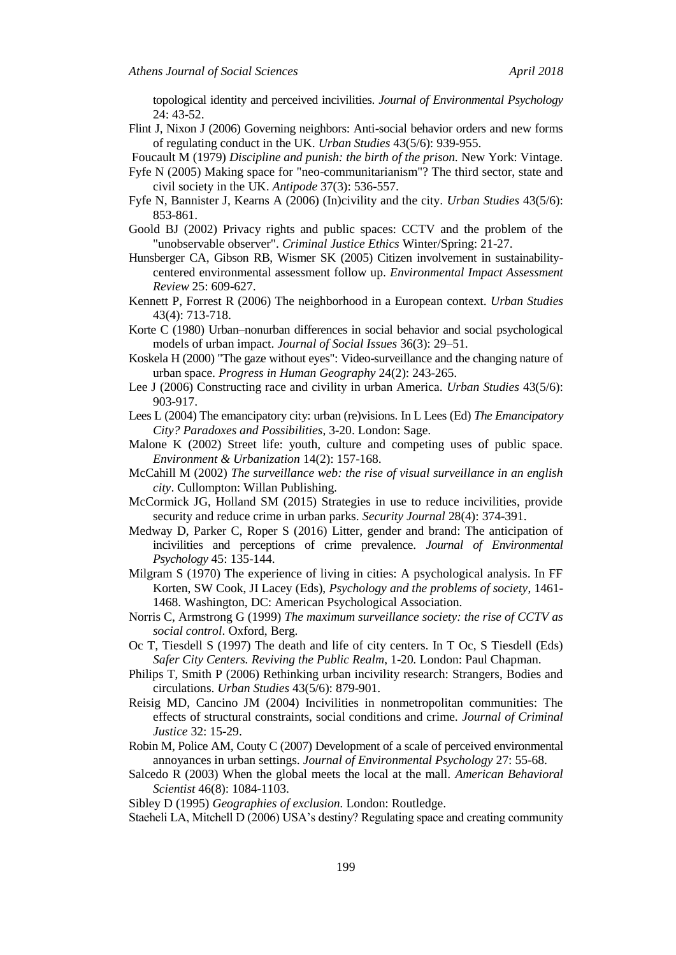topological identity and perceived incivilities. *Journal of Environmental Psychology* 24: 43-52.

Flint J, Nixon J (2006) Governing neighbors: Anti-social behavior orders and new forms of regulating conduct in the UK. *Urban Studies* 43(5/6): 939-955.

Foucault M (1979) *Discipline and punish: the birth of the prison.* New York: Vintage.

- Fyfe N (2005) Making space for "neo-communitarianism"? The third sector, state and civil society in the UK. *Antipode* 37(3): 536-557.
- Fyfe N, Bannister J, Kearns A (2006) (In)civility and the city. *Urban Studies* 43(5/6): 853-861.
- Goold BJ (2002) Privacy rights and public spaces: CCTV and the problem of the "unobservable observer". *Criminal Justice Ethics* Winter/Spring: 21-27.
- Hunsberger CA, Gibson RB, Wismer SK (2005) Citizen involvement in sustainabilitycentered environmental assessment follow up. *Environmental Impact Assessment Review* 25: 609-627.
- Kennett P, Forrest R (2006) The neighborhood in a European context. *Urban Studies*  43(4): 713-718.
- Korte C (1980) Urban–nonurban differences in social behavior and social psychological models of urban impact. *Journal of Social Issues* 36(3): 29–51.
- Koskela H (2000) "The gaze without eyes": Video-surveillance and the changing nature of urban space. *Progress in Human Geography* 24(2): 243-265.
- Lee J (2006) Constructing race and civility in urban America. *Urban Studies* 43(5/6): 903-917.
- Lees L (2004) The emancipatory city: urban (re)visions. In L Lees (Εd) *The Emancipatory City? Paradoxes and Possibilities*, 3-20. London: Sage.
- Malone K (2002) Street life: youth, culture and competing uses of public space. *Environment & Urbanization* 14(2): 157-168.
- McCahill M (2002) *The surveillance web: the rise of visual surveillance in an english city*. Cullompton: Willan Publishing.
- McCormick JG, Holland SM (2015) Strategies in use to reduce incivilities, provide security and reduce crime in urban parks. *Security Journal* 28(4): 374-391.
- Medway D, Parker C, Roper S (2016) Litter, gender and brand: The anticipation of incivilities and perceptions of crime prevalence. *Journal of Environmental Psychology* 45: 135-144.
- Milgram S (1970) The experience of living in cities: A psychological analysis. In FF Korten, SW Cook, JI Lacey (Εds), *Psychology and the problems of society*, 1461- 1468. Washington, DC: American Psychological Association.
- Norris C, Armstrong G (1999) *The maximum surveillance society: the rise of CCTV as social control*. Oxford, Berg.
- Oc T, Tiesdell S (1997) The death and life of city centers. In T Oc, S Tiesdell (Eds) *Safer City Centers. Reviving the Public Realm*, 1-20*.* London: Paul Chapman.
- Philips T, Smith P (2006) Rethinking urban incivility research: Strangers, Bodies and circulations. *Urban Studies* 43(5/6): 879-901.
- Reisig MD, Cancino JM (2004) Incivilities in nonmetropolitan communities: The effects of structural constraints, social conditions and crime. *Journal of Criminal Justice* 32: 15-29.
- Robin M, Police AM, Couty C (2007) Development of a scale of perceived environmental annoyances in urban settings. *Journal of Environmental Psychology* 27: 55-68.
- Salcedo R (2003) When the global meets the local at the mall. *American Behavioral Scientist* 46(8): 1084-1103.

Sibley D (1995) *Geographies of exclusion.* London: Routledge.

Staeheli LA, Mitchell D (2006) USA's destiny? Regulating space and creating community